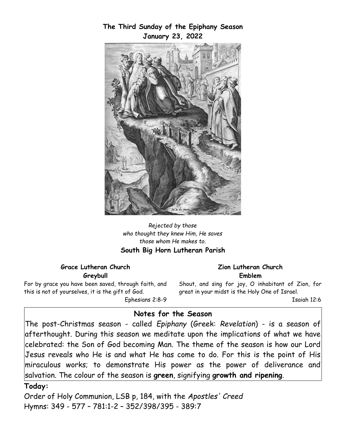

## **The Third Sunday of the Epiphany Season January 23, 2022**

*Rejected by those who thought they knew Him, He saves those whom He makes to.* **South Big Horn Lutheran Parish**

#### **Grace Lutheran Church Greybull**

For by grace you have been saved, through faith, and this is not of yourselves, it is the gift of God. Ephesians 2:8-9

#### **Zion Lutheran Church Emblem**

Shout, and sing for joy, O inhabitant of Zion, for great in your midst is the Holy One of Israel.

Isaiah 12:6

# **Notes for the Season**

The post-Christmas season - called *Epiphany* (Greek: *Revelation*) - is a season of afterthought. During this season we meditate upon the implications of what we have celebrated: the Son of God becoming Man. The theme of the season is how our Lord Jesus reveals who He is and what He has come to do. For this is the point of His miraculous works; to demonstrate His power as the power of deliverance and salvation. The colour of the season is **green**, signifying **growth and ripening**.

### **Today:**

Order of Holy Communion, LSB p, 184, with the *Apostles' Creed* Hymns: 349 - 577 – 781:1-2 – 352/398/395 - 389:7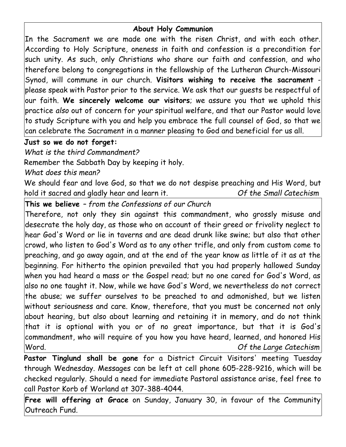## **About Holy Communion**

In the Sacrament we are made one with the risen Christ, and with each other. According to Holy Scripture, oneness in faith and confession is a precondition for such unity. As such, only Christians who share our faith and confession, and who therefore belong to congregations in the fellowship of the Lutheran Church-Missouri Synod, will commune in our church. **Visitors wishing to receive the sacrament** -  $|{\sf please}$  speak with Pastor prior to the service. We ask that our quests be respectful of $|$ our faith. **We sincerely welcome our visitors**; we assure you that we uphold this practice *also* out of concern for *your* spiritual welfare, and that our Pastor would love to study Scripture with you and help you embrace the full counsel of God, so that we can celebrate the Sacrament in a manner pleasing to God and beneficial for us all.

# **Just so we do not forget:**

*What is the third Commandment?*

Remember the Sabbath Day by keeping it holy.

*What does this mean?*

We should fear and love God, so that we do not despise preaching and His Word, but hold it sacred and gladly hear and learn it. *Of the Small Catechism*

**This we believe** *– from the Confessions of our Church*

Therefore, not only they sin against this commandment, who grossly misuse and desecrate the holy day, as those who on account of their greed or frivolity neglect to hear God's Word or lie in taverns and are dead drunk like swine; but also that other  $|$ crowd, who listen to God's Word as to any other trifle, and only from custom come to $|$ preaching, and go away again, and at the end of the year know as little of it as at the beginning. For hitherto the opinion prevailed that you had properly hallowed Sunday when you had heard a mass or the Gospel read; but no one cared for God's Word, as also no one taught it. Now, while we have God's Word, we nevertheless do not correct the abuse; we suffer ourselves to be preached to and admonished, but we listen without seriousness and care. Know, therefore, that you must be concerned not only about hearing, but also about learning and retaining it in memory, and do not think that it is optional with you or of no great importance, but that it is God's commandment, who will require of you how you have heard, learned, and honored His Word. *Of the Large Catechism*

**Pastor Tinglund shall be gone** for a District Circuit Visitors' meeting Tuesday through Wednesday. Messages can be left at cell phone 605-228-9216, which will be checked regularly. Should a need for immediate Pastoral assistance arise, feel free to call Pastor Korb of Worland at 307-388-4044.

**Free will offering at Grace** on Sunday, January 30, in favour of the Community Outreach Fund.